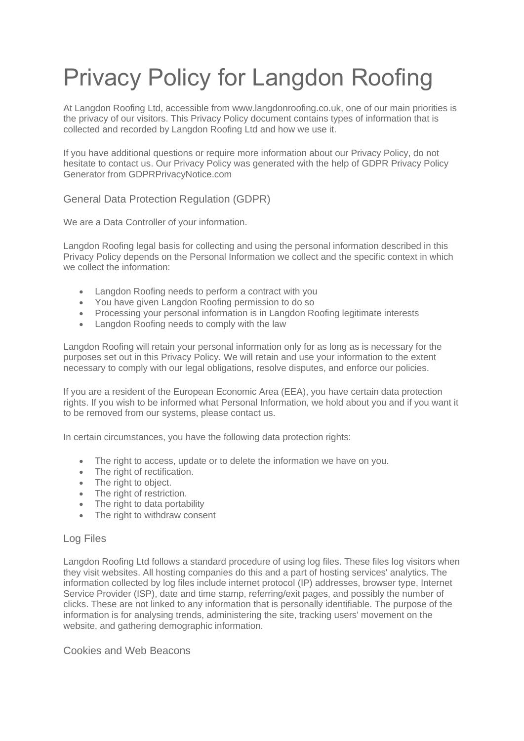# Privacy Policy for Langdon Roofing

At Langdon Roofing Ltd, accessible from www.langdonroofing.co.uk, one of our main priorities is the privacy of our visitors. This Privacy Policy document contains types of information that is collected and recorded by Langdon Roofing Ltd and how we use it.

If you have additional questions or require more information about our Privacy Policy, do not hesitate to contact us. Our Privacy Policy was generated with the help of [GDPR Privacy Policy](https://www.gdprprivacynotice.com/)  [Generator from GDPRPrivacyNotice.com](https://www.gdprprivacynotice.com/)

# General Data Protection Regulation (GDPR)

We are a Data Controller of your information.

Langdon Roofing legal basis for collecting and using the personal information described in this Privacy Policy depends on the Personal Information we collect and the specific context in which we collect the information:

- Langdon Roofing needs to perform a contract with you
- You have given Langdon Roofing permission to do so
- Processing your personal information is in Langdon Roofing legitimate interests
- Langdon Roofing needs to comply with the law

Langdon Roofing will retain your personal information only for as long as is necessary for the purposes set out in this Privacy Policy. We will retain and use your information to the extent necessary to comply with our legal obligations, resolve disputes, and enforce our policies.

If you are a resident of the European Economic Area (EEA), you have certain data protection rights. If you wish to be informed what Personal Information, we hold about you and if you want it to be removed from our systems, please contact us.

In certain circumstances, you have the following data protection rights:

- The right to access, update or to delete the information we have on you.
- The right of rectification.
- The right to object.
- The right of restriction.
- The right to data portability
- The right to withdraw consent

#### Log Files

Langdon Roofing Ltd follows a standard procedure of using log files. These files log visitors when they visit websites. All hosting companies do this and a part of hosting services' analytics. The information collected by log files include internet protocol (IP) addresses, browser type, Internet Service Provider (ISP), date and time stamp, referring/exit pages, and possibly the number of clicks. These are not linked to any information that is personally identifiable. The purpose of the information is for analysing trends, administering the site, tracking users' movement on the website, and gathering demographic information.

Cookies and Web Beacons